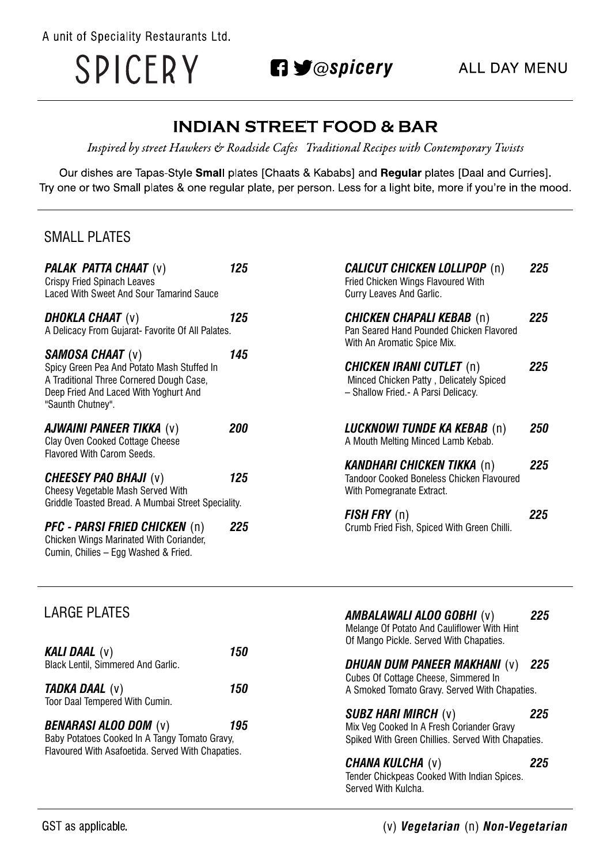A unit of Speciality Restaurants Ltd.

SPICERY

**n y** @spicery

# **INDIAN STREET FOOD & BAR**

Inspired by street Hawkers & Roadside Cafes Traditional Recipes with Contemporary Twists

Our dishes are Tapas-Style Small plates [Chaats & Kababs] and Regular plates [Daal and Curries]. Try one or two Small plates & one regular plate, per person. Less for a light bite, more if you're in the mood.

### **SMALL PLATES**

| <b>PALAK PATTA CHAAT (v)</b><br><b>Crispy Fried Spinach Leaves</b> | 125               | <b>CALICUT CHICKEN LOLLIPOP (n)</b><br>Fried Chicken Wings Flavoured With | 225 |
|--------------------------------------------------------------------|-------------------|---------------------------------------------------------------------------|-----|
| Laced With Sweet And Sour Tamarind Sauce                           |                   | Curry Leaves And Garlic.                                                  |     |
| <b>DHOKLA CHAAT</b> (v)                                            | 125               | <b>CHICKEN CHAPALI KEBAB</b> (n)                                          | 225 |
| A Delicacy From Gujarat- Favorite Of All Palates.                  |                   | Pan Seared Hand Pounded Chicken Flavored<br>With An Aromatic Spice Mix.   |     |
| <b>SAMOSA CHAAT (v)</b>                                            | 145               |                                                                           |     |
| Spicy Green Pea And Potato Mash Stuffed In                         |                   | <b>CHICKEN IRANI CUTLET</b> (n)                                           | 225 |
| A Traditional Three Cornered Dough Case,                           |                   | Minced Chicken Patty, Delicately Spiced                                   |     |
| Deep Fried And Laced With Yoghurt And<br>"Saunth Chutney".         |                   | - Shallow Fried.- A Parsi Delicacy.                                       |     |
| <b>AJWAINI PANEER TIKKA (v)</b>                                    | <i><b>200</b></i> | <b>LUCKNOWI TUNDE KA KEBAB</b> (n)                                        | 250 |
| Clay Oven Cooked Cottage Cheese                                    |                   | A Mouth Melting Minced Lamb Kebab.                                        |     |
| <b>Flavored With Carom Seeds.</b>                                  |                   |                                                                           |     |
|                                                                    |                   | <b>KANDHARI CHICKEN TIKKA (n)</b>                                         | 225 |
| <b>CHEESEY PAO BHAJI (v)</b>                                       | 125               | <b>Tandoor Cooked Boneless Chicken Flavoured</b>                          |     |
| Cheesy Vegetable Mash Served With                                  |                   | With Pomegranate Extract.                                                 |     |
| Griddle Toasted Bread. A Mumbai Street Speciality.                 |                   |                                                                           |     |
|                                                                    |                   | $FISH$ $FRY$ $(n)$                                                        | 225 |
| <b>PFC - PARSI FRIED CHICKEN (n)</b>                               | 225               | Crumb Fried Fish, Spiced With Green Chilli.                               |     |
| Chicken Wings Marinated With Coriander,                            |                   |                                                                           |     |
| Cumin, Chilies - Egg Washed & Fried.                               |                   |                                                                           |     |

| <b>LARGE PLATES</b>                               |     | <b>AMBALAWALI ALOO GOBHI (v)</b><br>Melange Of Potato And Cauliflower With Hint | 225 |
|---------------------------------------------------|-----|---------------------------------------------------------------------------------|-----|
| <b>KALI DAAL</b> (v)                              | 150 | Of Mango Pickle. Served With Chapaties.                                         |     |
| <b>Black Lentil, Simmered And Garlic.</b>         |     | <b>DHUAN DUM PANEER MAKHANI (v)</b>                                             | 225 |
|                                                   |     | Cubes Of Cottage Cheese, Simmered In                                            |     |
| <b>TADKA DAAL</b> (v)<br>150                      |     | A Smoked Tomato Gravy. Served With Chapaties.                                   |     |
| Toor Daal Tempered With Cumin.                    |     |                                                                                 |     |
| <b>BENARASI ALOO DOM (v)</b>                      | 195 | <b>SUBZ HARI MIRCH (v)</b><br>Mix Veg Cooked In A Fresh Coriander Gravy         | 225 |
| Baby Potatoes Cooked In A Tangy Tomato Gravy,     |     | Spiked With Green Chillies. Served With Chapaties.                              |     |
| Flavoured With Asafoetida. Served With Chapaties. |     |                                                                                 |     |
|                                                   |     | <b>CHANA KULCHA (V)</b>                                                         | 225 |
|                                                   |     | Tender Chickpeas Cooked With Indian Spices.                                     |     |
|                                                   |     | Served With Kulcha.                                                             |     |